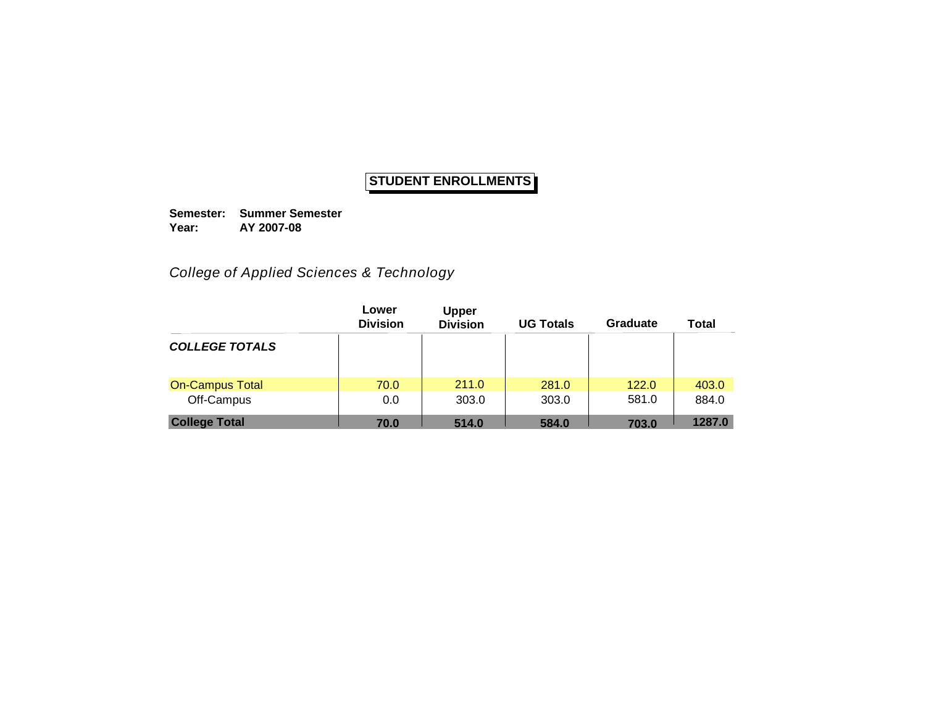**Semester: Summer Semester Year: AY 2007-08**

*College of Applied Sciences & Technology*

|                        | Lower<br><b>Division</b> | <b>Upper</b><br><b>Division</b> | <b>UG Totals</b> | Graduate | <b>Total</b> |
|------------------------|--------------------------|---------------------------------|------------------|----------|--------------|
| <b>COLLEGE TOTALS</b>  |                          |                                 |                  |          |              |
| <b>On-Campus Total</b> | 70.0                     | 211.0                           | 281.0            | 122.0    | 403.0        |
| Off-Campus             | 0.0                      | 303.0                           | 303.0            | 581.0    | 884.0        |
| <b>College Total</b>   | 70.0                     | 514.0                           | 584.0            | 703.0    | 1287.0       |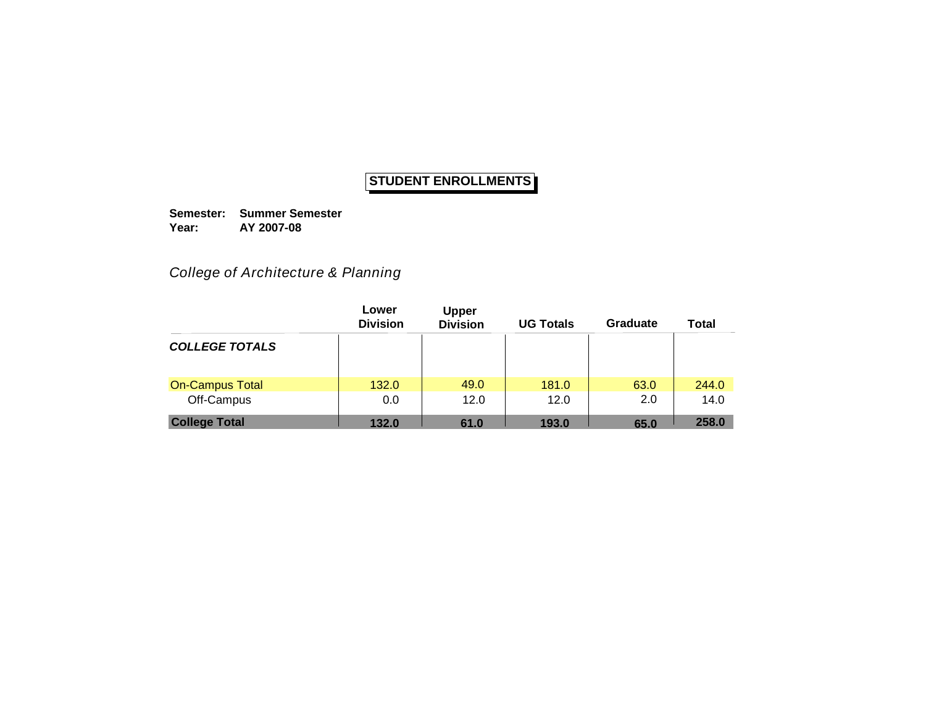**Semester: Summer Semester Year: AY 2007-08**

### *College of Architecture & Planning*

|                        | Lower<br><b>Division</b> | <b>Upper</b><br><b>Division</b> | <b>UG Totals</b> | Graduate | Total |
|------------------------|--------------------------|---------------------------------|------------------|----------|-------|
| <b>COLLEGE TOTALS</b>  |                          |                                 |                  |          |       |
| <b>On-Campus Total</b> | 132.0                    | 49.0                            | 181.0            | 63.0     | 244.0 |
| Off-Campus             | 0.0                      | 12.0                            | 12.0             | 2.0      | 14.0  |
| <b>College Total</b>   | 132.0                    | 61.0                            | 193.0            | 65.0     | 258.0 |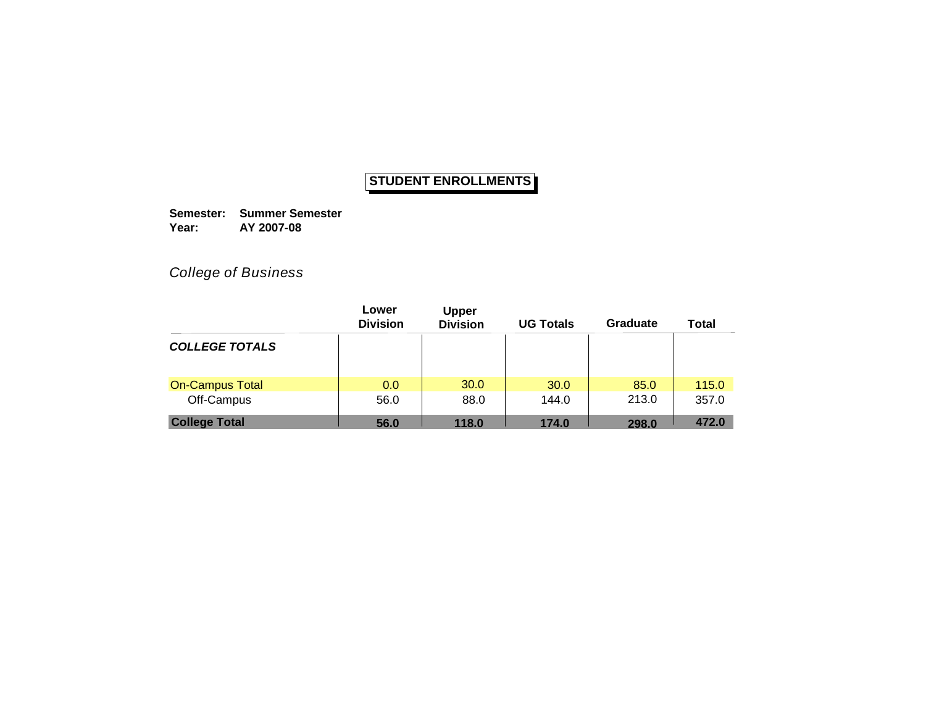**Semester: Summer Semester Year: AY 2007-08**

*College of Business*

|                        | Lower<br><b>Division</b> | <b>Upper</b><br><b>Division</b> | <b>UG Totals</b> | Graduate | <b>Total</b> |
|------------------------|--------------------------|---------------------------------|------------------|----------|--------------|
| <b>COLLEGE TOTALS</b>  |                          |                                 |                  |          |              |
| <b>On-Campus Total</b> | 0.0                      | 30.0                            | 30.0             | 85.0     | 115.0        |
| Off-Campus             | 56.0                     | 88.0                            | 144.0            | 213.0    | 357.0        |
| <b>College Total</b>   | 56.0                     | 118.0                           | 174.0            | 298.0    | 472.0        |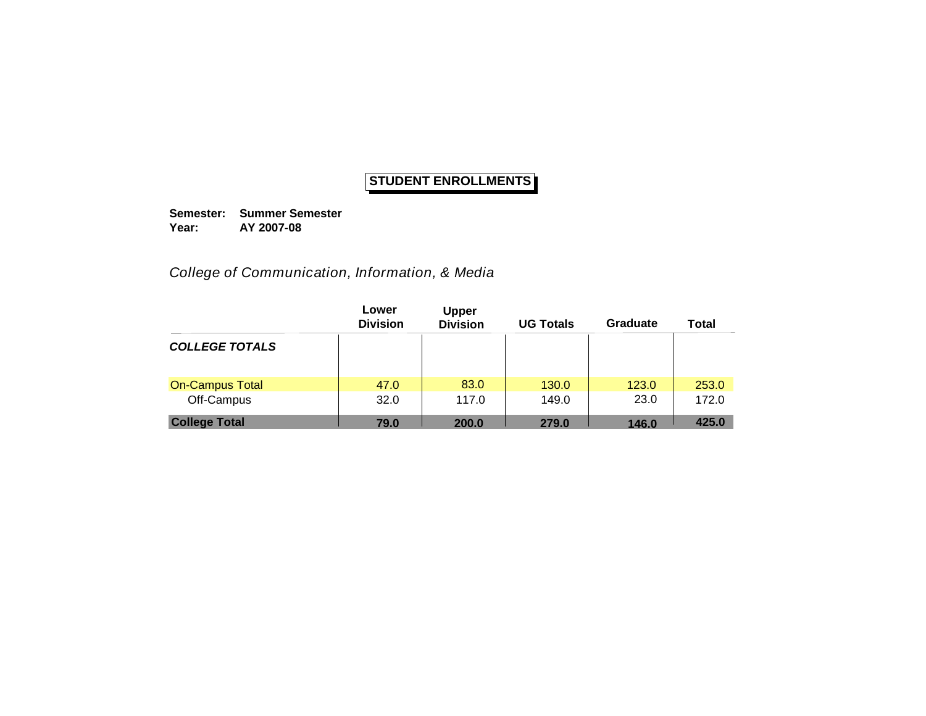**Semester: Summer Semester Year: AY 2007-08**

*College of Communication, Information, & Media*

|                        | Lower<br><b>Division</b> | <b>Upper</b><br><b>Division</b> | <b>UG Totals</b> | Graduate | <b>Total</b> |
|------------------------|--------------------------|---------------------------------|------------------|----------|--------------|
| <b>COLLEGE TOTALS</b>  |                          |                                 |                  |          |              |
| <b>On-Campus Total</b> | 47.0                     | 83.0                            | 130.0            | 123.0    | 253.0        |
| Off-Campus             | 32.0                     | 117.0                           | 149.0            | 23.0     | 172.0        |
| <b>College Total</b>   | 79.0                     | 200.0                           | 279.0            | 146.0    | 425.0        |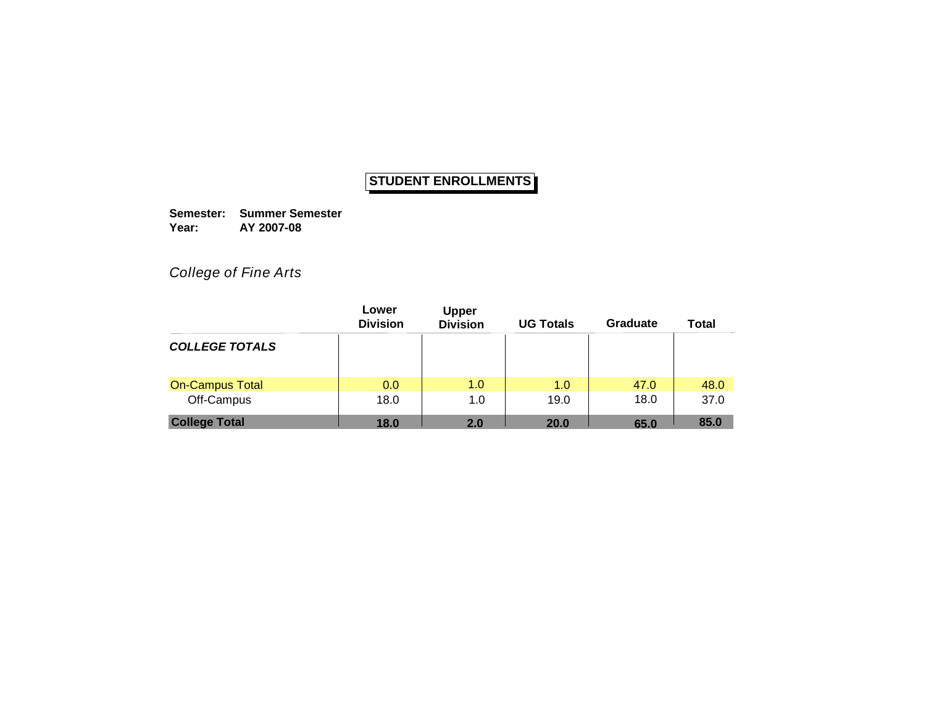**Semester: Summer Semester Year: AY 2007-08**

*College of Fine Arts*

|                        | Lower<br><b>Division</b> | <b>Upper</b><br><b>Division</b> | <b>UG Totals</b> | Graduate | <b>Total</b> |
|------------------------|--------------------------|---------------------------------|------------------|----------|--------------|
| <b>COLLEGE TOTALS</b>  |                          |                                 |                  |          |              |
| <b>On-Campus Total</b> | 0.0                      | 1.0                             | 1.0              | 47.0     | 48.0         |
| Off-Campus             | 18.0                     | 1.0                             | 19.0             | 18.0     | 37.0         |
| <b>College Total</b>   | 18.0                     | 2.0                             | <b>20.0</b>      | 65.0     | 85.0         |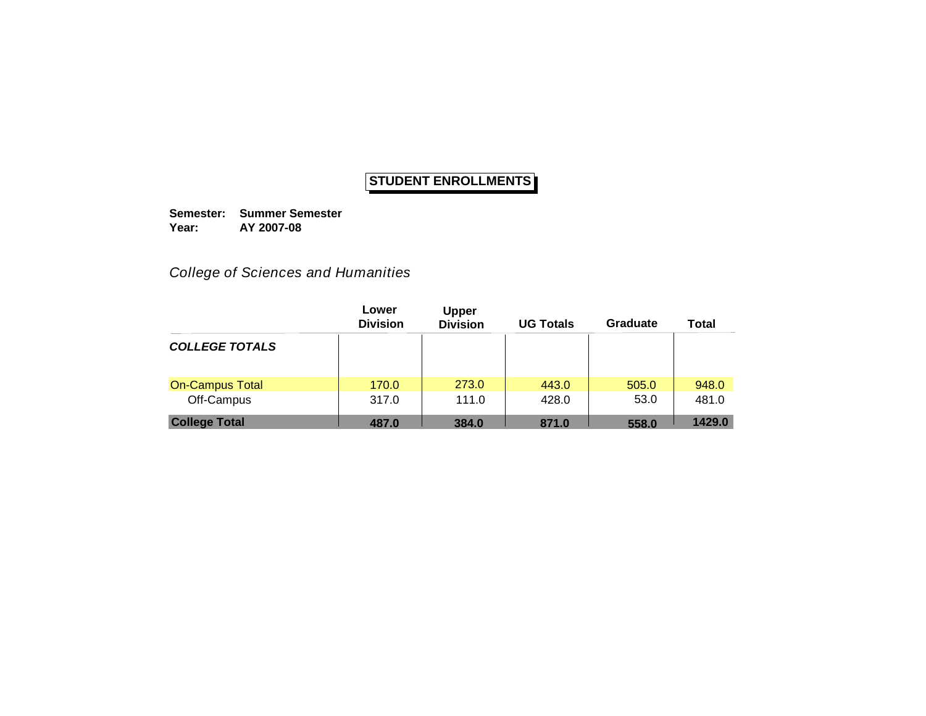**Semester: Summer Semester Year: AY 2007-08**

*College of Sciences and Humanities*

|                        | Lower<br><b>Division</b> | <b>Upper</b><br><b>Division</b> | <b>UG Totals</b> | Graduate | Total  |
|------------------------|--------------------------|---------------------------------|------------------|----------|--------|
| <b>COLLEGE TOTALS</b>  |                          |                                 |                  |          |        |
| <b>On-Campus Total</b> | 170.0                    | 273.0                           | 443.0            | 505.0    | 948.0  |
| Off-Campus             | 317.0                    | 111.0                           | 428.0            | 53.0     | 481.0  |
| <b>College Total</b>   | 487.0                    | 384.0                           | 871.0            | 558.0    | 1429.0 |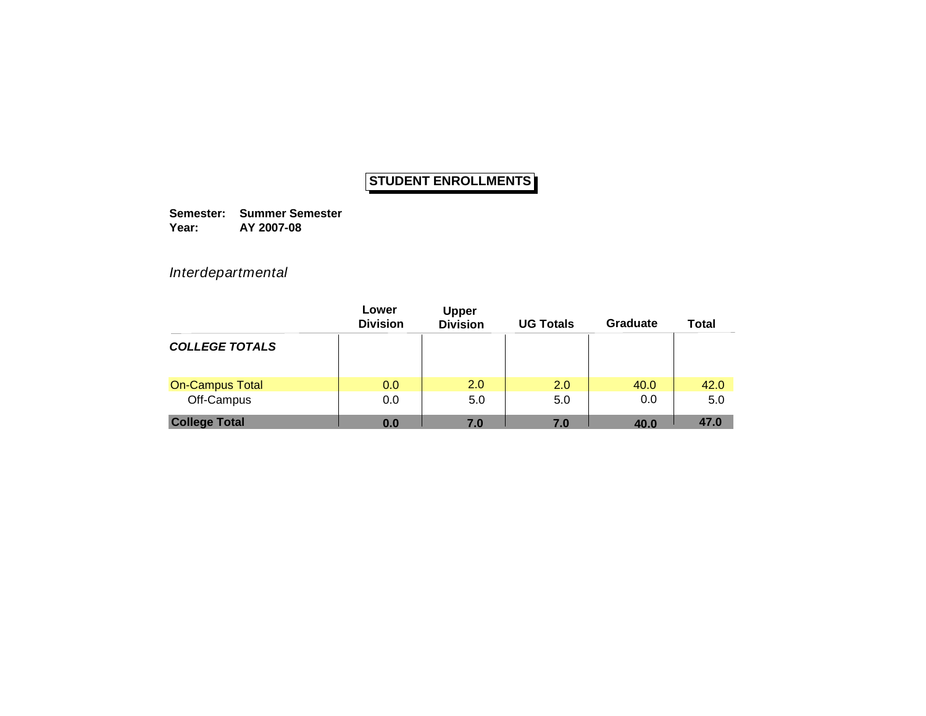**Semester: Summer Semester Year: AY 2007-08**

*Interdepartmental*

|                        | Lower<br><b>Division</b> | <b>Upper</b><br><b>Division</b> | <b>UG Totals</b> | Graduate | <b>Total</b> |
|------------------------|--------------------------|---------------------------------|------------------|----------|--------------|
| <b>COLLEGE TOTALS</b>  |                          |                                 |                  |          |              |
| <b>On-Campus Total</b> | 0.0                      | 2.0                             | 2.0              | 40.0     | 42.0         |
| Off-Campus             | 0.0                      | 5.0                             | 5.0              | 0.0      | 5.0          |
| <b>College Total</b>   | 0.0                      | 7.0                             | 7.0              | 40.0     | 47.0         |